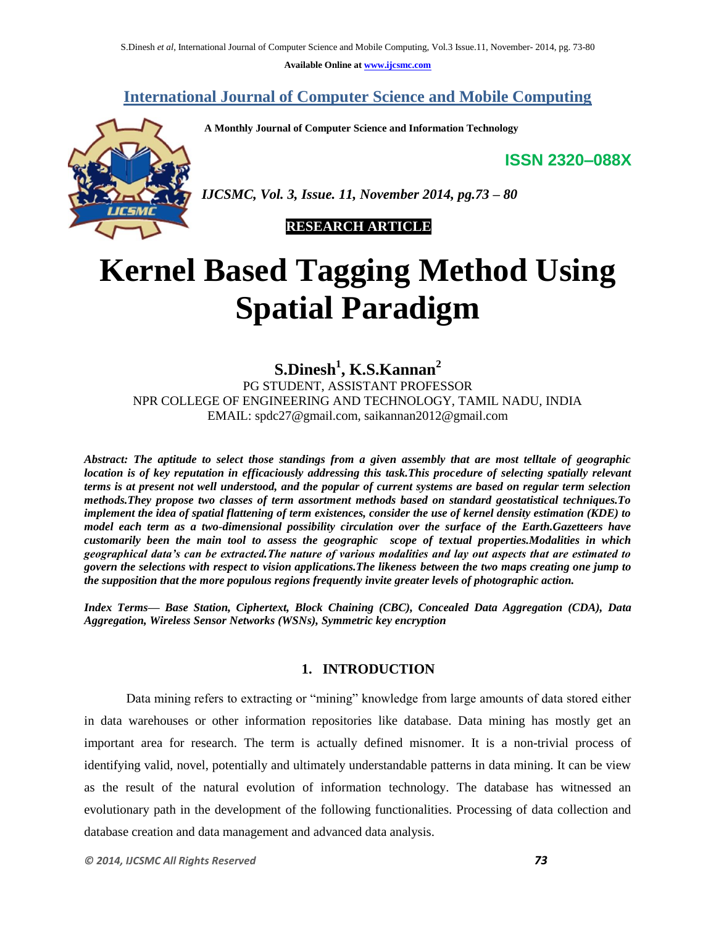**Available Online at www.ijcsmc.com**

# **International Journal of Computer Science and Mobile Computing**

**A Monthly Journal of Computer Science and Information Technology**

**ISSN 2320–088X**



*IJCSMC, Vol. 3, Issue. 11, November 2014, pg.73 – 80*

# **RESEARCH ARTICLE**

# **Kernel Based Tagging Method Using Spatial Paradigm**

**S.Dinesh<sup>1</sup> , K.S.Kannan<sup>2</sup>** PG STUDENT, ASSISTANT PROFESSOR NPR COLLEGE OF ENGINEERING AND TECHNOLOGY, TAMIL NADU, INDIA EMAIL: spdc27@gmail.com, saikannan2012@gmail.com

*Abstract: The aptitude to select those standings from a given assembly that are most telltale of geographic location is of key reputation in efficaciously addressing this task.This procedure of selecting spatially relevant terms is at present not well understood, and the popular of current systems are based on regular term selection methods.They propose two classes of term assortment methods based on standard geostatistical techniques.To implement the idea of spatial flattening of term existences, consider the use of kernel density estimation (KDE) to model each term as a two-dimensional possibility circulation over the surface of the Earth.Gazetteers have customarily been the main tool to assess the geographic scope of textual properties.Modalities in which geographical data's can be extracted.The nature of various modalities and lay out aspects that are estimated to govern the selections with respect to vision applications.The likeness between the two maps creating one jump to the supposition that the more populous regions frequently invite greater levels of photographic action.*

*Index Terms— Base Station, Ciphertext, Block Chaining (CBC), Concealed Data Aggregation (CDA), Data Aggregation, Wireless Sensor Networks (WSNs), Symmetric key encryption*

# **1. INTRODUCTION**

Data mining refers to extracting or "mining" knowledge from large amounts of data stored either in data warehouses or other information repositories like database. Data mining has mostly get an important area for research. The term is actually defined misnomer. It is a non-trivial process of identifying valid, novel, potentially and ultimately understandable patterns in data mining. It can be view as the result of the natural evolution of information technology. The database has witnessed an evolutionary path in the development of the following functionalities. Processing of data collection and database creation and data management and advanced data analysis.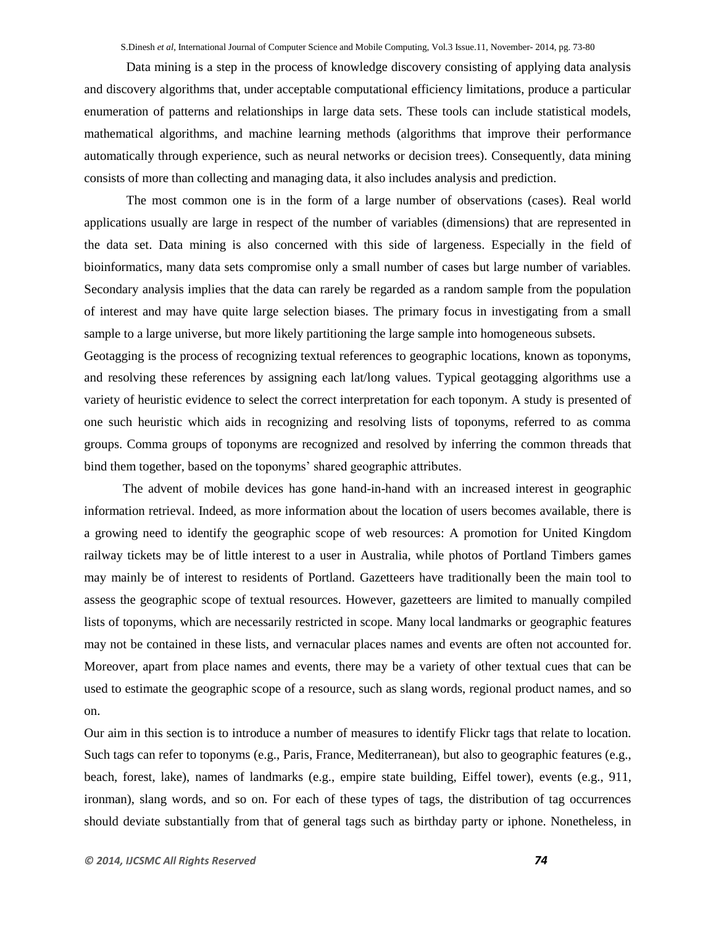Data mining is a step in the process of knowledge discovery consisting of applying data analysis and discovery algorithms that, under acceptable computational efficiency limitations, produce a particular enumeration of patterns and relationships in large data sets. These tools can include statistical models, mathematical algorithms, and machine learning methods (algorithms that improve their performance automatically through experience, such as neural networks or decision trees). Consequently, data mining consists of more than collecting and managing data, it also includes analysis and prediction.

The most common one is in the form of a large number of observations (cases). Real world applications usually are large in respect of the number of variables (dimensions) that are represented in the data set. Data mining is also concerned with this side of largeness. Especially in the field of bioinformatics, many data sets compromise only a small number of cases but large number of variables. Secondary analysis implies that the data can rarely be regarded as a random sample from the population of interest and may have quite large selection biases. The primary focus in investigating from a small sample to a large universe, but more likely partitioning the large sample into homogeneous subsets.

Geotagging is the process of recognizing textual references to geographic locations, known as toponyms, and resolving these references by assigning each lat/long values. Typical geotagging algorithms use a variety of heuristic evidence to select the correct interpretation for each toponym. A study is presented of one such heuristic which aids in recognizing and resolving lists of toponyms, referred to as comma groups. Comma groups of toponyms are recognized and resolved by inferring the common threads that bind them together, based on the toponyms' shared geographic attributes.

 The advent of mobile devices has gone hand-in-hand with an increased interest in geographic information retrieval. Indeed, as more information about the location of users becomes available, there is a growing need to identify the geographic scope of web resources: A promotion for United Kingdom railway tickets may be of little interest to a user in Australia, while photos of Portland Timbers games may mainly be of interest to residents of Portland. Gazetteers have traditionally been the main tool to assess the geographic scope of textual resources. However, gazetteers are limited to manually compiled lists of toponyms, which are necessarily restricted in scope. Many local landmarks or geographic features may not be contained in these lists, and vernacular places names and events are often not accounted for. Moreover, apart from place names and events, there may be a variety of other textual cues that can be used to estimate the geographic scope of a resource, such as slang words, regional product names, and so on.

Our aim in this section is to introduce a number of measures to identify Flickr tags that relate to location. Such tags can refer to toponyms (e.g., Paris, France, Mediterranean), but also to geographic features (e.g., beach, forest, lake), names of landmarks (e.g., empire state building, Eiffel tower), events (e.g., 911, ironman), slang words, and so on. For each of these types of tags, the distribution of tag occurrences should deviate substantially from that of general tags such as birthday party or iphone. Nonetheless, in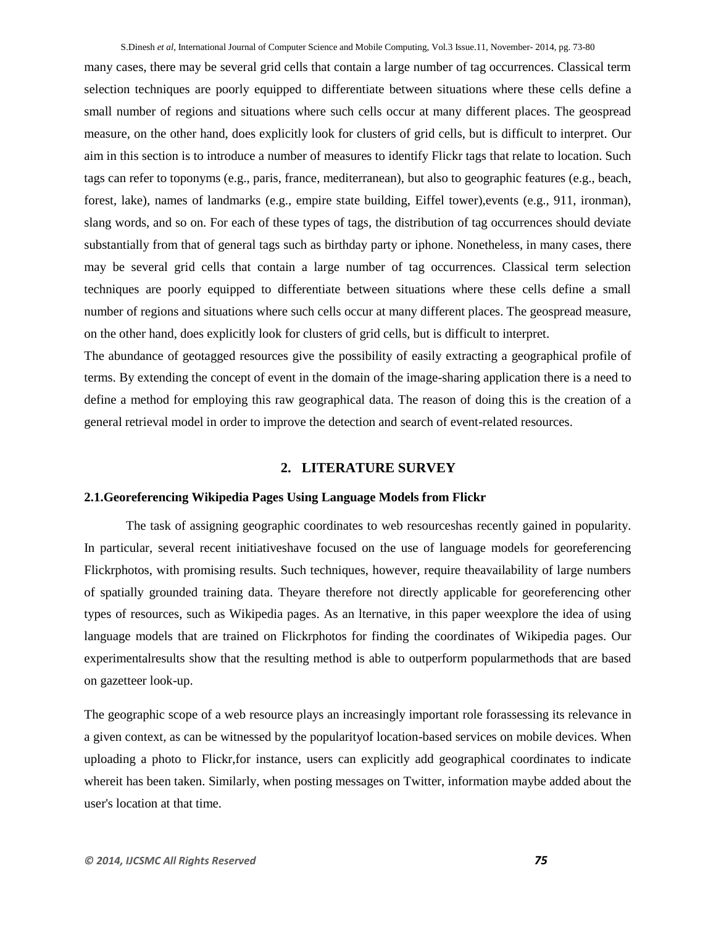many cases, there may be several grid cells that contain a large number of tag occurrences. Classical term selection techniques are poorly equipped to differentiate between situations where these cells define a small number of regions and situations where such cells occur at many different places. The geospread measure, on the other hand, does explicitly look for clusters of grid cells, but is difficult to interpret. Our aim in this section is to introduce a number of measures to identify Flickr tags that relate to location. Such tags can refer to toponyms (e.g., paris, france, mediterranean), but also to geographic features (e.g., beach, forest, lake), names of landmarks (e.g., empire state building, Eiffel tower),events (e.g., 911, ironman), slang words, and so on. For each of these types of tags, the distribution of tag occurrences should deviate substantially from that of general tags such as birthday party or iphone. Nonetheless, in many cases, there may be several grid cells that contain a large number of tag occurrences. Classical term selection techniques are poorly equipped to differentiate between situations where these cells define a small number of regions and situations where such cells occur at many different places. The geospread measure, on the other hand, does explicitly look for clusters of grid cells, but is difficult to interpret.

The abundance of geotagged resources give the possibility of easily extracting a geographical profile of terms. By extending the concept of event in the domain of the image-sharing application there is a need to define a method for employing this raw geographical data. The reason of doing this is the creation of a general retrieval model in order to improve the detection and search of event-related resources.

# **2. LITERATURE SURVEY**

## **2.1.Georeferencing Wikipedia Pages Using Language Models from Flickr**

The task of assigning geographic coordinates to web resourceshas recently gained in popularity. In particular, several recent initiativeshave focused on the use of language models for georeferencing Flickrphotos, with promising results. Such techniques, however, require theavailability of large numbers of spatially grounded training data. Theyare therefore not directly applicable for georeferencing other types of resources, such as Wikipedia pages. As an lternative, in this paper weexplore the idea of using language models that are trained on Flickrphotos for finding the coordinates of Wikipedia pages. Our experimentalresults show that the resulting method is able to outperform popularmethods that are based on gazetteer look-up.

The geographic scope of a web resource plays an increasingly important role forassessing its relevance in a given context, as can be witnessed by the popularityof location-based services on mobile devices. When uploading a photo to Flickr,for instance, users can explicitly add geographical coordinates to indicate whereit has been taken. Similarly, when posting messages on Twitter, information maybe added about the user's location at that time.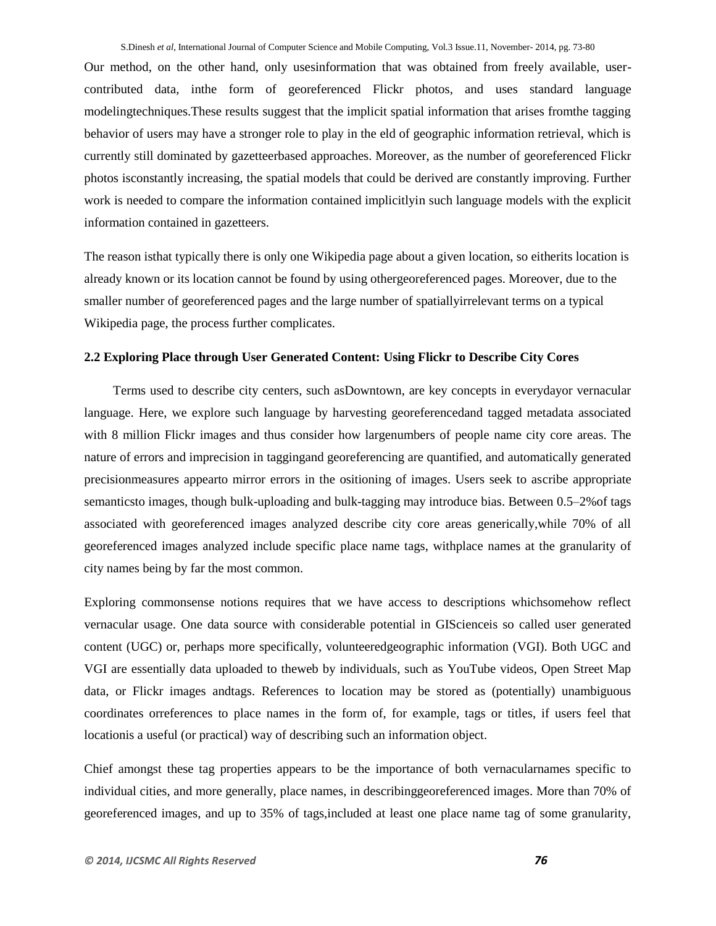Our method, on the other hand, only usesinformation that was obtained from freely available, usercontributed data, inthe form of georeferenced Flickr photos, and uses standard language modelingtechniques.These results suggest that the implicit spatial information that arises fromthe tagging behavior of users may have a stronger role to play in the eld of geographic information retrieval, which is currently still dominated by gazetteerbased approaches. Moreover, as the number of georeferenced Flickr photos isconstantly increasing, the spatial models that could be derived are constantly improving. Further work is needed to compare the information contained implicitlyin such language models with the explicit information contained in gazetteers.

The reason isthat typically there is only one Wikipedia page about a given location, so eitherits location is already known or its location cannot be found by using othergeoreferenced pages. Moreover, due to the smaller number of georeferenced pages and the large number of spatiallyirrelevant terms on a typical Wikipedia page, the process further complicates.

# **2.2 Exploring Place through User Generated Content: Using Flickr to Describe City Cores**

Terms used to describe city centers, such asDowntown, are key concepts in everydayor vernacular language. Here, we explore such language by harvesting georeferencedand tagged metadata associated with 8 million Flickr images and thus consider how largenumbers of people name city core areas. The nature of errors and imprecision in taggingand georeferencing are quantified, and automatically generated precisionmeasures appearto mirror errors in the ositioning of images. Users seek to ascribe appropriate semanticsto images, though bulk-uploading and bulk-tagging may introduce bias. Between 0.5–2%of tags associated with georeferenced images analyzed describe city core areas generically,while 70% of all georeferenced images analyzed include specific place name tags, withplace names at the granularity of city names being by far the most common.

Exploring commonsense notions requires that we have access to descriptions whichsomehow reflect vernacular usage. One data source with considerable potential in GIScienceis so called user generated content (UGC) or, perhaps more specifically, volunteeredgeographic information (VGI). Both UGC and VGI are essentially data uploaded to theweb by individuals, such as YouTube videos, Open Street Map data, or Flickr images andtags. References to location may be stored as (potentially) unambiguous coordinates orreferences to place names in the form of, for example, tags or titles, if users feel that locationis a useful (or practical) way of describing such an information object.

Chief amongst these tag properties appears to be the importance of both vernacularnames specific to individual cities, and more generally, place names, in describinggeoreferenced images. More than 70% of georeferenced images, and up to 35% of tags,included at least one place name tag of some granularity,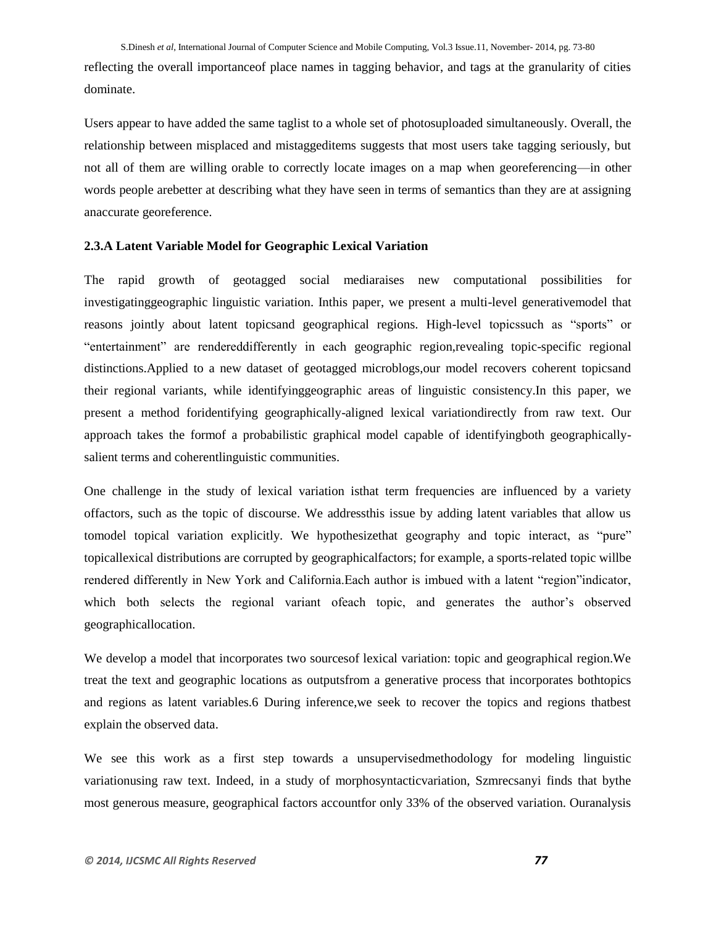reflecting the overall importanceof place names in tagging behavior, and tags at the granularity of cities dominate.

Users appear to have added the same taglist to a whole set of photosuploaded simultaneously. Overall, the relationship between misplaced and mistaggeditems suggests that most users take tagging seriously, but not all of them are willing orable to correctly locate images on a map when georeferencing—in other words people arebetter at describing what they have seen in terms of semantics than they are at assigning anaccurate georeference.

# **2.3.A Latent Variable Model for Geographic Lexical Variation**

The rapid growth of geotagged social mediaraises new computational possibilities for investigatinggeographic linguistic variation. Inthis paper, we present a multi-level generativemodel that reasons jointly about latent topicsand geographical regions. High-level topicssuch as "sports" or "entertainment" are rendereddifferently in each geographic region,revealing topic-specific regional distinctions.Applied to a new dataset of geotagged microblogs,our model recovers coherent topicsand their regional variants, while identifyinggeographic areas of linguistic consistency.In this paper, we present a method foridentifying geographically-aligned lexical variationdirectly from raw text. Our approach takes the formof a probabilistic graphical model capable of identifyingboth geographicallysalient terms and coherentlinguistic communities.

One challenge in the study of lexical variation isthat term frequencies are influenced by a variety offactors, such as the topic of discourse. We addressthis issue by adding latent variables that allow us tomodel topical variation explicitly. We hypothesize that geography and topic interact, as "pure" topicallexical distributions are corrupted by geographicalfactors; for example, a sports-related topic willbe rendered differently in New York and California.Each author is imbued with a latent "region" indicator, which both selects the regional variant ofeach topic, and generates the author's observed geographicallocation.

We develop a model that incorporates two sourcesof lexical variation: topic and geographical region.We treat the text and geographic locations as outputsfrom a generative process that incorporates bothtopics and regions as latent variables.6 During inference,we seek to recover the topics and regions thatbest explain the observed data.

We see this work as a first step towards a unsupervisedmethodology for modeling linguistic variationusing raw text. Indeed, in a study of morphosyntacticvariation, Szmrecsanyi finds that bythe most generous measure, geographical factors accountfor only 33% of the observed variation. Ouranalysis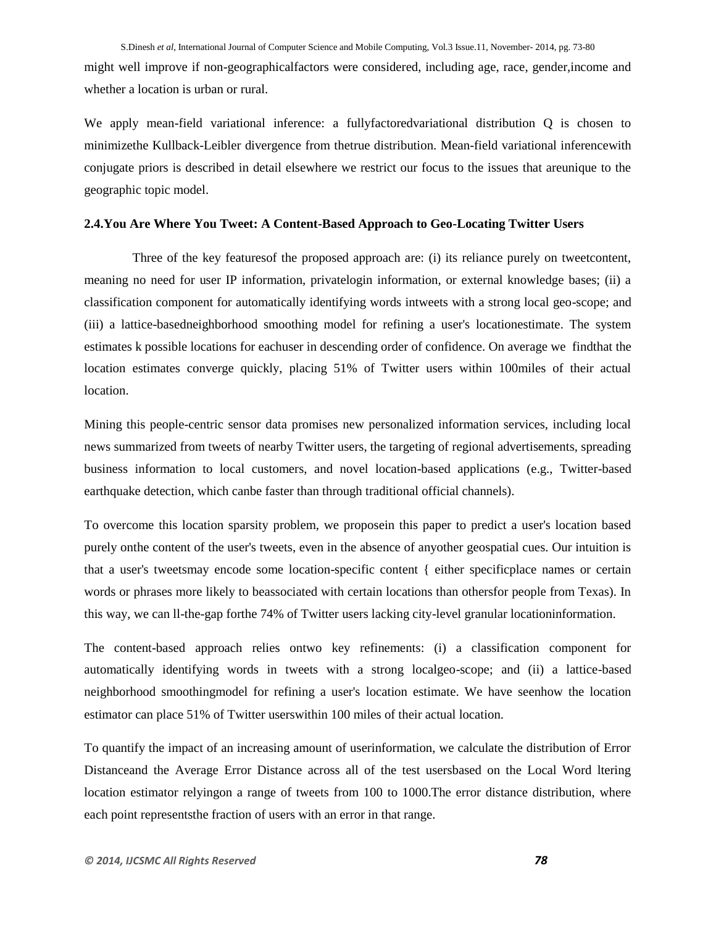might well improve if non-geographicalfactors were considered, including age, race, gender,income and whether a location is urban or rural.

We apply mean-field variational inference: a fullyfactoredvariational distribution Q is chosen to minimizethe Kullback-Leibler divergence from thetrue distribution. Mean-field variational inferencewith conjugate priors is described in detail elsewhere we restrict our focus to the issues that areunique to the geographic topic model.

## **2.4.You Are Where You Tweet: A Content-Based Approach to Geo-Locating Twitter Users**

Three of the key featuresof the proposed approach are: (i) its reliance purely on tweetcontent, meaning no need for user IP information, privatelogin information, or external knowledge bases; (ii) a classification component for automatically identifying words intweets with a strong local geo-scope; and (iii) a lattice-basedneighborhood smoothing model for refining a user's locationestimate. The system estimates k possible locations for eachuser in descending order of confidence. On average we findthat the location estimates converge quickly, placing 51% of Twitter users within 100miles of their actual location.

Mining this people-centric sensor data promises new personalized information services, including local news summarized from tweets of nearby Twitter users, the targeting of regional advertisements, spreading business information to local customers, and novel location-based applications (e.g., Twitter-based earthquake detection, which canbe faster than through traditional official channels).

To overcome this location sparsity problem, we proposein this paper to predict a user's location based purely onthe content of the user's tweets, even in the absence of anyother geospatial cues. Our intuition is that a user's tweetsmay encode some location-specific content { either specificplace names or certain words or phrases more likely to beassociated with certain locations than othersfor people from Texas). In this way, we can ll-the-gap forthe 74% of Twitter users lacking city-level granular locationinformation.

The content-based approach relies ontwo key refinements: (i) a classification component for automatically identifying words in tweets with a strong localgeo-scope; and (ii) a lattice-based neighborhood smoothingmodel for refining a user's location estimate. We have seenhow the location estimator can place 51% of Twitter userswithin 100 miles of their actual location.

To quantify the impact of an increasing amount of userinformation, we calculate the distribution of Error Distanceand the Average Error Distance across all of the test usersbased on the Local Word ltering location estimator relyingon a range of tweets from 100 to 1000.The error distance distribution, where each point representsthe fraction of users with an error in that range.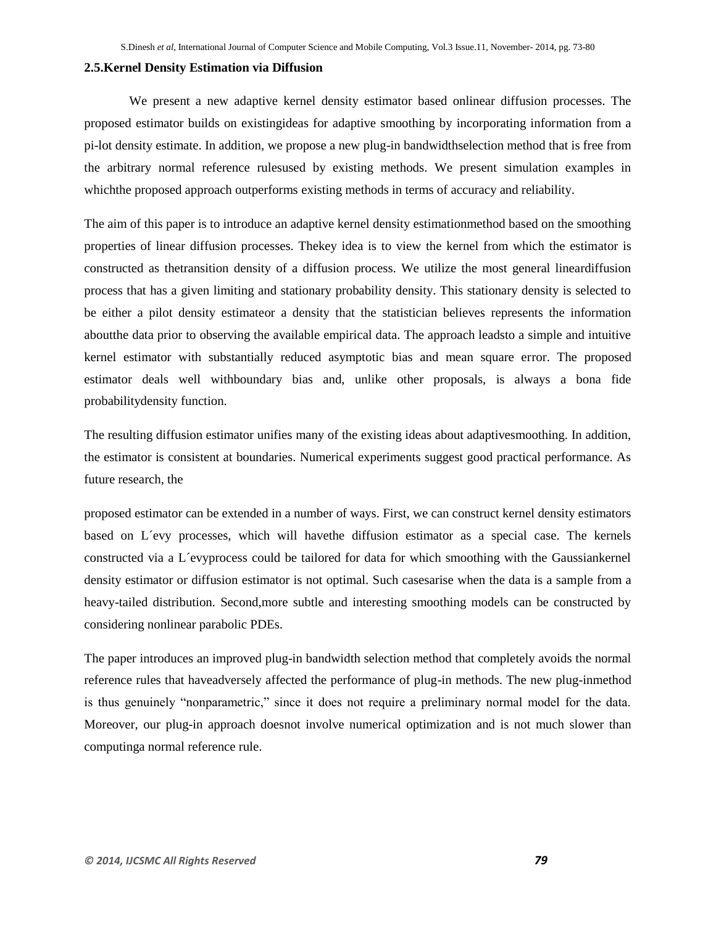### **2.5.Kernel Density Estimation via Diffusion**

We present a new adaptive kernel density estimator based onlinear diffusion processes. The proposed estimator builds on existingideas for adaptive smoothing by incorporating information from a pi-lot density estimate. In addition, we propose a new plug-in bandwidthselection method that is free from the arbitrary normal reference rulesused by existing methods. We present simulation examples in whichthe proposed approach outperforms existing methods in terms of accuracy and reliability.

The aim of this paper is to introduce an adaptive kernel density estimationmethod based on the smoothing properties of linear diffusion processes. Thekey idea is to view the kernel from which the estimator is constructed as thetransition density of a diffusion process. We utilize the most general lineardiffusion process that has a given limiting and stationary probability density. This stationary density is selected to be either a pilot density estimateor a density that the statistician believes represents the information aboutthe data prior to observing the available empirical data. The approach leadsto a simple and intuitive kernel estimator with substantially reduced asymptotic bias and mean square error. The proposed estimator deals well withboundary bias and, unlike other proposals, is always a bona fide probabilitydensity function.

The resulting diffusion estimator unifies many of the existing ideas about adaptivesmoothing. In addition, the estimator is consistent at boundaries. Numerical experiments suggest good practical performance. As future research, the

proposed estimator can be extended in a number of ways. First, we can construct kernel density estimators based on L´evy processes, which will havethe diffusion estimator as a special case. The kernels constructed via a L´evyprocess could be tailored for data for which smoothing with the Gaussiankernel density estimator or diffusion estimator is not optimal. Such casesarise when the data is a sample from a heavy-tailed distribution. Second,more subtle and interesting smoothing models can be constructed by considering nonlinear parabolic PDEs.

The paper introduces an improved plug-in bandwidth selection method that completely avoids the normal reference rules that haveadversely affected the performance of plug-in methods. The new plug-inmethod is thus genuinely "nonparametric," since it does not require a preliminary normal model for the data. Moreover, our plug-in approach doesnot involve numerical optimization and is not much slower than computinga normal reference rule.